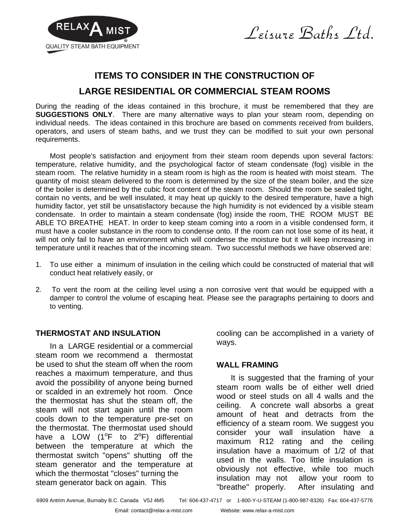



# **ITEMS TO CONSIDER IN THE CONSTRUCTION OF LARGE RESIDENTIAL OR COMMERCIAL STEAM ROOMS**

During the reading of the ideas contained in this brochure, it must be remembered that they are **SUGGESTIONS ONLY**. There are many alternative ways to plan your steam room, depending on individual needs. The ideas contained in this brochure are based on comments received from builders, operators, and users of steam baths, and we trust they can be modified to suit your own personal requirements.

Most people's satisfaction and enjoyment from their steam room depends upon several factors: temperature, relative humidity, and the psychological factor of steam condensate (fog) visible in the steam room. The relative humidity in a steam room is high as the room is heated with moist steam. The quantity of moist steam delivered to the room is determined by the size of the steam boiler, and the size of the boiler is determined by the cubic foot content of the steam room. Should the room be sealed tight, contain no vents, and be well insulated, it may heat up quickly to the desired temperature, have a high humidity factor, yet still be unsatisfactory because the high humidity is not evidenced by a visible steam condensate. In order to maintain a steam condensate (fog) inside the room, THE ROOM MUST BE ABLE TO BREATHE HEAT. In order to keep steam coming into a room in a visible condensed form, it must have a cooler substance in the room to condense onto. If the room can not lose some of its heat, it will not only fail to have an environment which will condense the moisture but it will keep increasing in temperature until it reaches that of the incoming steam. Two successful methods we have observed are:

- 1. To use either a minimum of insulation in the ceiling which could be constructed of material that will conduct heat relatively easily, or
- 2. To vent the room at the ceiling level using a non corrosive vent that would be equipped with a damper to control the volume of escaping heat. Please see the paragraphs pertaining to doors and to venting.

## **THERMOSTAT AND INSULATION**

In a LARGE residential or a commercial steam room we recommend a thermostat be used to shut the steam off when the room reaches a maximum temperature, and thus avoid the possibility of anyone being burned or scalded in an extremely hot room. Once the thermostat has shut the steam off, the steam will not start again until the room cools down to the temperature pre-set on the thermostat. The thermostat used should have a LOW ( $1^{\circ}$ F to  $2^{\circ}$ F) differential between the temperature at which the thermostat switch "opens" shutting off the steam generator and the temperature at which the thermostat "closes" turning the steam generator back on again. This

cooling can be accomplished in a variety of ways.

## **WALL FRAMING**

It is suggested that the framing of your steam room walls be of either well dried wood or steel studs on all 4 walls and the ceiling. A concrete wall absorbs a great amount of heat and detracts from the efficiency of a steam room. We suggest you consider your wall insulation have a maximum R12 rating and the ceiling insulation have a maximum of 1/2 of that used in the walls. Too little insulation is obviously not effective, while too much insulation may not allow your room to "breathe" properly. After insulating and

6909 Antrim Avenue, Burnaby B.C. Canada V5J 4M5 Tel: 604-437-4717 or 1-800-Y-U-STEAM (1-800-987-8326) Fax: 604-437-5776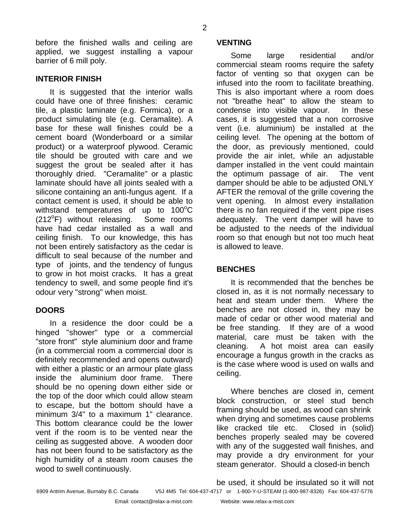before the finished walls and ceiling are applied, we suggest installing a vapour barrier of 6 mill poly.

# **INTERIOR FINISH**

It is suggested that the interior walls could have one of three finishes: ceramic tile, a plastic laminate (e.g. Formica), or a product simulating tile (e.g. Ceramalite). A base for these wall finishes could be a cement board (Wonderboard or a similar product) or a waterproof plywood. Ceramic tile should be grouted with care and we suggest the grout be sealed after it has thoroughly dried. "Ceramalite" or a plastic laminate should have all joints sealed with a silicone containing an anti-fungus agent. If a contact cement is used, it should be able to withstand temperatures of up to  $100^{\circ}$ C (212°F) without releasing. Some rooms have had cedar installed as a wall and ceiling finish. To our knowledge, this has not been entirely satisfactory as the cedar is difficult to seal because of the number and type of joints, and the tendency of fungus to grow in hot moist cracks. It has a great tendency to swell, and some people find it's odour very "strong" when moist.

# **DOORS**

In a residence the door could be a hinged "shower" type or a commercial "store front" style aluminium door and frame (in a commercial room a commercial door is definitely recommended and opens outward) with either a plastic or an armour plate glass inside the aluminium door frame. There should be no opening down either side or the top of the door which could allow steam to escape, but the bottom should have a minimum 3/4" to a maximum 1" clearance. This bottom clearance could be the lower vent if the room is to be vented near the ceiling as suggested above. A wooden door has not been found to be satisfactory as the high humidity of a steam room causes the wood to swell continuously.

## **VENTING**

Some large residential and/or commercial steam rooms require the safety factor of venting so that oxygen can be infused into the room to facilitate breathing. This is also important where a room does not "breathe heat" to allow the steam to condense into visible vapour. In these cases, it is suggested that a non corrosive vent (i.e. aluminium) be installed at the ceiling level. The opening at the bottom of the door, as previously mentioned, could provide the air inlet, while an adjustable damper installed in the vent could maintain the optimum passage of air. The vent damper should be able to be adjusted ONLY AFTER the removal of the grille covering the vent opening. In almost every installation there is no fan required if the vent pipe rises adequately. The vent damper will have to be adjusted to the needs of the individual room so that enough but not too much heat is allowed to leave.

# **BENCHES**

It is recommended that the benches be closed in, as it is not normally necessary to heat and steam under them. Where the benches are not closed in, they may be made of cedar or other wood material and be free standing. If they are of a wood material, care must be taken with the cleaning. A hot moist area can easily encourage a fungus growth in the cracks as is the case where wood is used on walls and ceiling.

Where benches are closed in, cement block construction, or steel stud bench framing should be used, as wood can shrink when drying and sometimes cause problems like cracked tile etc. Closed in (solid) benches properly sealed may be covered with any of the suggested wall finishes, and may provide a dry environment for your steam generator. Should a closed-in bench

be used, it should be insulated so it will not

6909 Antrim Avenue, Burnaby B.C. Canada V5J 4M5 Tel: 604-437-4717 or 1-800-Y-U-STEAM (1-800-987-8326) Fax: 604-437-5776